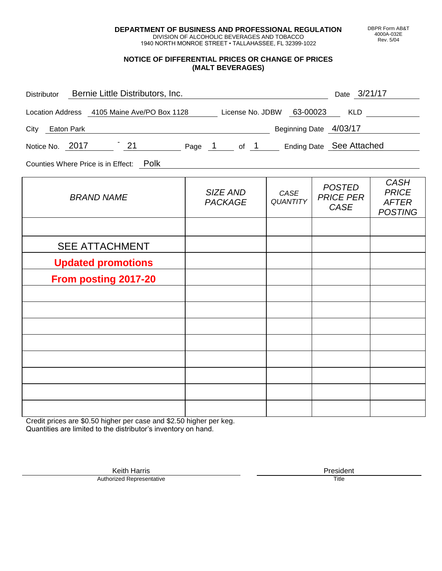**DEPARTMENT OF BUSINESS AND PROFESSIONAL REGULATION** DIVISION OF ALCOHOLIC BEVERAGES AND TOBACCO

1940 NORTH MONROE STREET • TALLAHASSEE, FL 32399-1022

#### **NOTICE OF DIFFERENTIAL PRICES OR CHANGE OF PRICES (MALT BEVERAGES)**

| Bernie Little Distributors, Inc.<br>Distributor                           |                            |                         | Date 3/21/17                                     |                                                               |
|---------------------------------------------------------------------------|----------------------------|-------------------------|--------------------------------------------------|---------------------------------------------------------------|
| Location Address 4105 Maine Ave/PO Box 1128 License No. JDBW 63-00023 KLD |                            |                         |                                                  |                                                               |
| City Eaton Park                                                           |                            |                         | Beginning Date 4/03/17                           |                                                               |
| Notice No. 2017 21 Page 1 of 1 Ending Date See Attached                   |                            |                         |                                                  |                                                               |
| Counties Where Price is in Effect: Polk                                   |                            |                         |                                                  |                                                               |
| <b>BRAND NAME</b>                                                         | SIZE AND<br><b>PACKAGE</b> | CASE<br><b>QUANTITY</b> | <b>POSTED</b><br><b>PRICE PER</b><br><b>CASE</b> | <b>CASH</b><br><b>PRICE</b><br><b>AFTER</b><br><b>POSTING</b> |
|                                                                           |                            |                         |                                                  |                                                               |
| <b>SEE ATTACHMENT</b>                                                     |                            |                         |                                                  |                                                               |
| <b>Updated promotions</b>                                                 |                            |                         |                                                  |                                                               |
| From posting 2017-20                                                      |                            |                         |                                                  |                                                               |
|                                                                           |                            |                         |                                                  |                                                               |
|                                                                           |                            |                         |                                                  |                                                               |
|                                                                           |                            |                         |                                                  |                                                               |
|                                                                           |                            |                         |                                                  |                                                               |
|                                                                           |                            |                         |                                                  |                                                               |
|                                                                           |                            |                         |                                                  |                                                               |

Credit prices are \$0.50 higher per case and \$2.50 higher per keg. Quantities are limited to the distributor's inventory on hand.

> Keith Harris **President** President **President** President **President** President **President** Authorized Representative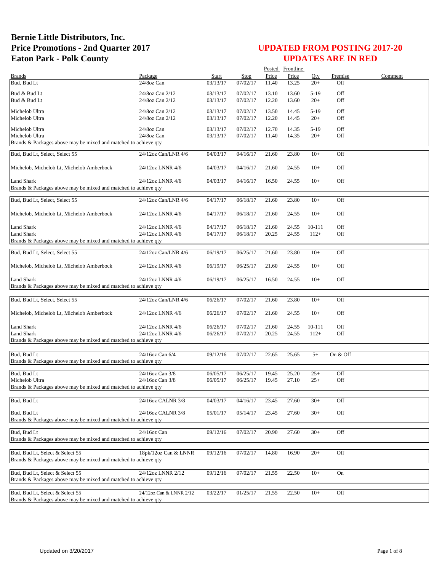|                                                                 |                          |                      |                      |                | Posted Frontline |                 |            |         |
|-----------------------------------------------------------------|--------------------------|----------------------|----------------------|----------------|------------------|-----------------|------------|---------|
| <b>Brands</b>                                                   | Package                  | Start                | <b>Stop</b>          | Price          | Price            | Oty             | Premise    | Comment |
| Bud, Bud Lt                                                     | 24/8oz Can               | 03/13/17             | 07/02/17             | 11.40          | 13.25            | $20+$           | Off        |         |
| Bud & Bud Lt                                                    | 24/8oz Can 2/12          | 03/13/17             | 07/02/17             | 13.10          | 13.60            | $5-19$          | Off        |         |
| Bud & Bud Lt                                                    | 24/8oz Can 2/12          | 03/13/17             | 07/02/17             | 12.20          | 13.60            | $20+$           | Off        |         |
| Michelob Ultra                                                  | 24/8oz Can 2/12          | 03/13/17             | 07/02/17             | 13.50          | 14.45            | $5-19$          | Off        |         |
| Michelob Ultra                                                  | 24/8oz Can 2/12          | 03/13/17             | 07/02/17             | 12.20          | 14.45            | $20+$           | Off        |         |
|                                                                 |                          |                      |                      |                |                  |                 |            |         |
| Michelob Ultra<br>Michelob Ultra                                | 24/8oz Can<br>24/8oz Can | 03/13/17<br>03/13/17 | 07/02/17<br>07/02/17 | 12.70<br>11.40 | 14.35<br>14.35   | $5-19$<br>$20+$ | Off<br>Off |         |
| Brands & Packages above may be mixed and matched to achieve qty |                          |                      |                      |                |                  |                 |            |         |
|                                                                 |                          |                      |                      |                |                  |                 |            |         |
| Bud, Bud Lt, Select, Select 55                                  | 24/12oz Can/LNR 4/6      | 04/03/17             | 04/16/17             | 21.60          | 23.80            | $10+$           | Off        |         |
| Michelob, Michelob Lt, Michelob Amberbock                       | 24/12oz LNNR 4/6         | 04/03/17             | 04/16/17             | 21.60          | 24.55            | $10+$           | Off        |         |
| Land Shark                                                      | 24/12oz LNNR 4/6         | 04/03/17             | 04/16/17             | 16.50          | 24.55            | $10+$           | Off        |         |
| Brands & Packages above may be mixed and matched to achieve qty |                          |                      |                      |                |                  |                 |            |         |
|                                                                 |                          |                      |                      |                |                  |                 |            |         |
| Bud, Bud Lt, Select, Select 55                                  | 24/12oz Can/LNR 4/6      | 04/17/17             | 06/18/17             | 21.60          | 23.80            | $10+$           | Off        |         |
| Michelob, Michelob Lt, Michelob Amberbock                       | 24/12oz LNNR 4/6         | 04/17/17             | 06/18/17             | 21.60          | 24.55            | $10+$           | Off        |         |
| <b>Land Shark</b>                                               | 24/12oz LNNR 4/6         | 04/17/17             | 06/18/17             | 21.60          | 24.55            | 10-111          | Off        |         |
| <b>Land Shark</b>                                               | 24/12oz LNNR 4/6         | 04/17/17             | 06/18/17             | 20.25          | 24.55            | $112+$          | Off        |         |
| Brands & Packages above may be mixed and matched to achieve gty |                          |                      |                      |                |                  |                 |            |         |
|                                                                 |                          |                      |                      |                |                  |                 |            |         |
| Bud, Bud Lt, Select, Select 55                                  | 24/12oz Can/LNR 4/6      | 06/19/17             | 06/25/17             | 21.60          | 23.80            | $10+$           | Off        |         |
| Michelob, Michelob Lt, Michelob Amberbock                       | 24/12oz LNNR 4/6         | 06/19/17             | 06/25/17             | 21.60          | 24.55            | $10+$           | Off        |         |
| Land Shark                                                      | 24/12oz LNNR 4/6         | 06/19/17             | 06/25/17             | 16.50          | 24.55            | $10+$           | Off        |         |
| Brands & Packages above may be mixed and matched to achieve qty |                          |                      |                      |                |                  |                 |            |         |
|                                                                 |                          |                      |                      |                |                  |                 |            |         |
| Bud, Bud Lt, Select, Select 55                                  | 24/12oz Can/LNR 4/6      | 06/26/17             | 07/02/17             | 21.60          | 23.80            | $10+$           | Off        |         |
|                                                                 |                          |                      |                      |                |                  |                 |            |         |
| Michelob, Michelob Lt, Michelob Amberbock                       | 24/12oz LNNR 4/6         | 06/26/17             | 07/02/17             | 21.60          | 24.55            | $10+$           | Off        |         |
| <b>Land Shark</b>                                               | 24/12oz LNNR 4/6         | 06/26/17             | 07/02/17             | 21.60          | 24.55            | 10-111          | Off        |         |
| Land Shark                                                      | 24/12oz LNNR 4/6         | 06/26/17             | 07/02/17             | 20.25          | 24.55            | $112+$          | Off        |         |
| Brands & Packages above may be mixed and matched to achieve qty |                          |                      |                      |                |                  |                 |            |         |
|                                                                 |                          |                      |                      |                |                  |                 |            |         |
| Bud, Bud Lt                                                     | 24/16oz Can 6/4          | 09/12/16             | 07/02/17             | 22.65          | 25.65            | $5+$            | On & Off   |         |
| Brands & Packages above may be mixed and matched to achieve qty |                          |                      |                      |                |                  |                 |            |         |
| Bud, Bud Lt                                                     | 24/16oz Can 3/8          | 06/05/17             | 06/25/17             | 19.45          | 25.20            | $25+$           | Off        |         |
| Michelob Ultra                                                  | 24/16oz Can 3/8          | 06/05/17             | 06/25/17             | 19.45          | 27.10            | $25+$           | Off        |         |
| Brands & Packages above may be mixed and matched to achieve qty |                          |                      |                      |                |                  |                 |            |         |
| Bud, Bud Lt                                                     | 24/16oz CALNR 3/8        | 04/03/17             | 04/16/17             | 23.45          | 27.60            | $30+$           | Off        |         |
|                                                                 |                          |                      |                      |                |                  |                 |            |         |
| Bud, Bud Lt                                                     | 24/16oz CALNR 3/8        | 05/01/17             | 05/14/17             | 23.45          | 27.60            | $30+$           | Off        |         |
| Brands & Packages above may be mixed and matched to achieve gty |                          |                      |                      |                |                  |                 |            |         |
| Bud, Bud Lt                                                     | 24/16oz Can              | 09/12/16             | 07/02/17             | 20.90          | 27.60            | $30+$           | Off        |         |
| Brands & Packages above may be mixed and matched to achieve qty |                          |                      |                      |                |                  |                 |            |         |
|                                                                 |                          |                      |                      |                |                  |                 |            |         |
| Bud, Bud Lt, Select & Select 55                                 | 18pk/12oz Can & LNNR     | 09/12/16             | 07/02/17             | 14.80          | 16.90            | $20+$           | Off        |         |
| Brands & Packages above may be mixed and matched to achieve qty |                          |                      |                      |                |                  |                 |            |         |
| Bud, Bud Lt, Select & Select 55                                 | 24/12oz LNNR 2/12        |                      |                      |                |                  |                 | On         |         |
| Brands & Packages above may be mixed and matched to achieve qty |                          | 09/12/16             | 07/02/17             | 21.55          | 22.50            | $10+$           |            |         |
|                                                                 |                          |                      |                      |                |                  |                 |            |         |
| Bud, Bud Lt, Select & Select 55                                 | 24/12oz Can & LNNR 2/12  | 03/22/17             | 01/25/17             | 21.55          | 22.50            | $10+$           | Off        |         |
| Brands & Packages above may be mixed and matched to achieve qty |                          |                      |                      |                |                  |                 |            |         |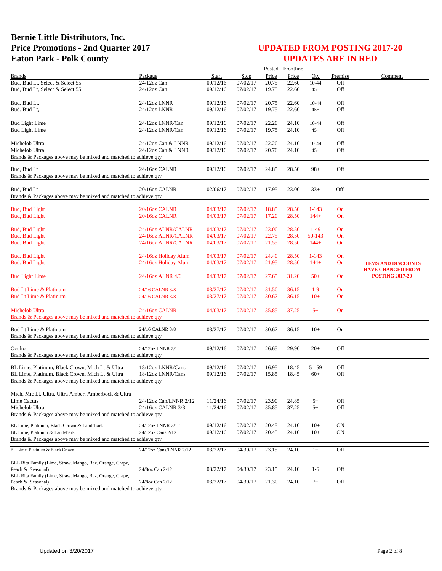|                                                                                           |                        |          |          |                | Posted Frontline |           |         |                                                        |
|-------------------------------------------------------------------------------------------|------------------------|----------|----------|----------------|------------------|-----------|---------|--------------------------------------------------------|
| <b>Brands</b>                                                                             | Package                | Start    | Step     | Price          | Price            | Otv       | Premise | Comment                                                |
| Bud, Bud Lt, Select & Select 55                                                           | 24/12oz Can            | 09/12/16 | 07/02/17 | 20.75          | 22.60            | 10-44     | Off     |                                                        |
| Bud, Bud Lt, Select & Select 55                                                           | $24/12$ oz Can         | 09/12/16 | 07/02/17 | 19.75          | 22.60            | $45+$     | Off     |                                                        |
|                                                                                           |                        |          |          |                |                  |           |         |                                                        |
| Bud, Bud Lt,                                                                              | 24/12oz LNNR           | 09/12/16 | 07/02/17 | 20.75          | 22.60            | 10-44     | Off     |                                                        |
| Bud, Bud Lt,                                                                              | 24/12oz LNNR           | 09/12/16 | 07/02/17 | 19.75          | 22.60            | $45+$     | Off     |                                                        |
| Bud Light Lime                                                                            | 24/12oz LNNR/Can       | 09/12/16 | 07/02/17 | 22.20          | 24.10            | 10-44     | Off     |                                                        |
| <b>Bud Light Lime</b>                                                                     | 24/12oz LNNR/Can       | 09/12/16 | 07/02/17 | 19.75          | 24.10            | $45+$     | Off     |                                                        |
|                                                                                           |                        |          |          |                |                  |           |         |                                                        |
| Michelob Ultra                                                                            | 24/12oz Can & LNNR     | 09/12/16 | 07/02/17 | 22.20          | 24.10            | 10-44     | Off     |                                                        |
| Michelob Ultra                                                                            | 24/12oz Can & LNNR     | 09/12/16 | 07/02/17 | 20.70          | 24.10            | $45+$     | Off     |                                                        |
| Brands & Packages above may be mixed and matched to achieve qty                           |                        |          |          |                |                  |           |         |                                                        |
|                                                                                           |                        |          |          |                |                  |           |         |                                                        |
| Bud, Bud Lt                                                                               | 24/16oz CALNR          | 09/12/16 | 07/02/17 | 24.85          | 28.50            | $98+$     | Off     |                                                        |
| Brands & Packages above may be mixed and matched to achieve qty                           |                        |          |          |                |                  |           |         |                                                        |
| Bud, Bud Lt                                                                               | 20/16oz CALNR          | 02/06/17 | 07/02/17 | 17.95          | 23.00            | $33+$     | Off     |                                                        |
| Brands & Packages above may be mixed and matched to achieve qty                           |                        |          |          |                |                  |           |         |                                                        |
|                                                                                           |                        |          |          |                |                  |           |         |                                                        |
| <b>Bud, Bud Light</b>                                                                     | 20/16oz CALNR          | 04/03/17 | 07/02/17 | 18.85          | 28.50            | $1 - 143$ | On      |                                                        |
| Bud, Bud Light                                                                            | 20/16oz CALNR          | 04/03/17 | 07/02/17 | 17.20          | 28.50            | $144+$    | On      |                                                        |
|                                                                                           |                        |          |          |                |                  |           |         |                                                        |
| <b>Bud, Bud Light</b>                                                                     | 24/16oz ALNR/CALNR     | 04/03/17 | 07/02/17 | 23.00          | 28.50            | $1-49$    | On      |                                                        |
| <b>Bud, Bud Light</b>                                                                     | 24/16oz ALNR/CALNR     | 04/03/17 | 07/02/17 | 22.75          | 28.50            | 50-143    | On      |                                                        |
| <b>Bud, Bud Light</b>                                                                     | 24/16oz ALNR/CALNR     | 04/03/17 | 07/02/17 | 21.55          | 28.50            | $144+$    | On      |                                                        |
|                                                                                           |                        |          |          |                |                  |           |         |                                                        |
| <b>Bud, Bud Light</b>                                                                     | 24/16oz Holiday Alum   | 04/03/17 | 07/02/17 | 24.40          | 28.50            | $1 - 143$ | On      |                                                        |
| Bud, Bud Light                                                                            | 24/16oz Holiday Alum   | 04/03/17 | 07/02/17 | 21.95          | 28.50            | $144+$    | On      | <b>ITEMS AND DISCOUNTS</b><br><b>HAVE CHANGED FROM</b> |
| <b>Bud Light Lime</b>                                                                     | 24/16oz ALNR 4/6       | 04/03/17 | 07/02/17 | 27.65          | 31.20            | $50+$     | On      | <b>POSTING 2017-20</b>                                 |
|                                                                                           |                        |          |          |                |                  |           |         |                                                        |
| Bud Lt Lime & Platinum                                                                    | 24/16 CALNR 3/8        | 03/27/17 | 07/02/17 | 31.50          | 36.15            | $1-9$     | On      |                                                        |
| Bud Lt Lime & Platinum                                                                    | 24/16 CALNR 3/8        | 03/27/17 | 07/02/17 | 30.67          | 36.15            | $10+$     | On      |                                                        |
|                                                                                           |                        |          |          |                |                  |           |         |                                                        |
| Michelob Ultra                                                                            | 24/16oz CALNR          | 04/03/17 | 07/02/17 | 35.85          | 37.25            | $5+$      | On      |                                                        |
| Brands & Packages above may be mixed and matched to achieve qty                           |                        |          |          |                |                  |           |         |                                                        |
|                                                                                           |                        |          |          |                |                  |           |         |                                                        |
| Bud Lt Lime & Platinum<br>Brands & Packages above may be mixed and matched to achieve qty | 24/16 CALNR 3/8        | 03/27/17 | 07/02/17 | 30.67          | 36.15            | $10+$     | On      |                                                        |
|                                                                                           |                        |          |          |                |                  |           |         |                                                        |
| Oculto                                                                                    | 24/12oz LNNR 2/12      | 09/12/16 | 07/02/17 | 26.65          | 29.90            | $20+$     | Off     |                                                        |
| Brands & Packages above may be mixed and matched to achieve qty                           |                        |          |          |                |                  |           |         |                                                        |
|                                                                                           |                        |          |          |                |                  |           |         |                                                        |
| BL Lime, Platinum, Black Crown, Mich Lt & Ultra                                           | 18/12oz LNNR/Cans      | 09/12/16 | 07/02/17 | 16.95          | 18.45            | $5 - 59$  | Off     |                                                        |
| BL Lime, Platinum, Black Crown, Mich Lt & Ultra                                           | 18/12oz LNNR/Cans      | 09/12/16 | 07/02/17 | 15.85          | 18.45            | $60+$     | Off     |                                                        |
| Brands & Packages above may be mixed and matched to achieve qty                           |                        |          |          |                |                  |           |         |                                                        |
| Mich, Mic Lt, Ultra, Ultra Amber, Amberbock & Ultra                                       |                        |          |          |                |                  |           |         |                                                        |
| Lime Cactus                                                                               | 24/12oz Can/LNNR 2/12  | 11/24/16 | 07/02/17 | 23.90          | 24.85            | $5+$      | Off     |                                                        |
| Michelob Ultra                                                                            | 24/16oz CALNR 3/8      | 11/24/16 | 07/02/17 | 35.85          | 37.25            | $5+$      | Off     |                                                        |
| Brands & Packages above may be mixed and matched to achieve qty                           |                        |          |          |                |                  |           |         |                                                        |
| BL Lime, Platinum, Black Crown & Landshark                                                | 24/12oz LNNR 2/12      | 09/12/16 | 07/02/17 |                |                  | $10+$     | ON      |                                                        |
| BL Lime, Platinum & Landshark                                                             | 24/12oz Cans 2/12      | 09/12/16 | 07/02/17 | 20.45<br>20.45 | 24.10<br>24.10   | $10+$     | ON      |                                                        |
| Brands & Packages above may be mixed and matched to achieve qty                           |                        |          |          |                |                  |           |         |                                                        |
|                                                                                           |                        |          |          |                |                  |           |         |                                                        |
| BL Lime, Platinum & Black Crown                                                           | 24/12oz Cans/LNNR 2/12 | 03/22/17 | 04/30/17 | 23.15          | 24.10            | $1+$      | Off     |                                                        |
|                                                                                           |                        |          |          |                |                  |           |         |                                                        |
| BLL Rita Family (Lime, Straw, Mango, Raz, Orange, Grape,<br>Peach & Seasonal)             | 24/8oz Can 2/12        | 03/22/17 | 04/30/17 | 23.15          | 24.10            | $1-6$     | Off     |                                                        |
| BLL Rita Family (Lime, Straw, Mango, Raz, Orange, Grape,                                  |                        |          |          |                |                  |           |         |                                                        |
| Peach & Seasonal)                                                                         | 24/8oz Can 2/12        | 03/22/17 | 04/30/17 | 21.30          | 24.10            | $7+$      | Off     |                                                        |
| Brands & Packages above may be mixed and matched to achieve qty                           |                        |          |          |                |                  |           |         |                                                        |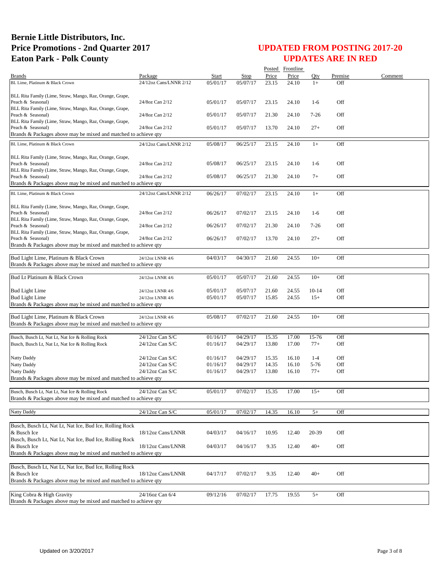|                                                                                              |                        |          |          |       | Posted Frontline |         |         |         |
|----------------------------------------------------------------------------------------------|------------------------|----------|----------|-------|------------------|---------|---------|---------|
| <b>Brands</b>                                                                                | Package                | Start    | Stop     | Price | Price            | Oty     | Premise | Comment |
| BL Lime, Platinum & Black Crown                                                              | 24/12oz Cans/LNNR 2/12 | 05/01/17 | 05/07/17 | 23.15 | 24.10            | $1+$    | Off     |         |
|                                                                                              |                        |          |          |       |                  |         |         |         |
| BLL Rita Family (Lime, Straw, Mango, Raz, Orange, Grape,<br>Peach & Seasonal)                | 24/8oz Can 2/12        | 05/01/17 | 05/07/17 | 23.15 | 24.10            | $1-6$   | Off     |         |
| BLL Rita Family (Lime, Straw, Mango, Raz, Orange, Grape,                                     |                        |          |          |       |                  |         |         |         |
| Peach & Seasonal)                                                                            | 24/8oz Can 2/12        | 05/01/17 | 05/07/17 | 21.30 | 24.10            | $7-26$  | Off     |         |
| BLL Rita Family (Lime, Straw, Mango, Raz, Orange, Grape,                                     |                        |          |          |       |                  |         |         |         |
| Peach & Seasonal)                                                                            | 24/8oz Can 2/12        | 05/01/17 | 05/07/17 | 13.70 | 24.10            | $27+$   | Off     |         |
| Brands & Packages above may be mixed and matched to achieve qty                              |                        |          |          |       |                  |         |         |         |
| BL Lime, Platinum & Black Crown                                                              | 24/12oz Cans/LNNR 2/12 | 05/08/17 | 06/25/17 | 23.15 | 24.10            | $1+$    | Off     |         |
|                                                                                              |                        |          |          |       |                  |         |         |         |
| BLL Rita Family (Lime, Straw, Mango, Raz, Orange, Grape,                                     |                        |          |          |       |                  |         |         |         |
| Peach & Seasonal)                                                                            | 24/8oz Can 2/12        | 05/08/17 | 06/25/17 | 23.15 | 24.10            | $1-6$   | Off     |         |
| BLL Rita Family (Lime, Straw, Mango, Raz, Orange, Grape,                                     |                        |          |          |       |                  |         |         |         |
| Peach & Seasonal)                                                                            | 24/8oz Can 2/12        | 05/08/17 | 06/25/17 | 21.30 | 24.10            | $7+$    | Off     |         |
| Brands & Packages above may be mixed and matched to achieve qty                              |                        |          |          |       |                  |         |         |         |
| BL Lime, Platinum & Black Crown                                                              | 24/12oz Cans/LNNR 2/12 | 06/26/17 | 07/02/17 | 23.15 | 24.10            | $1+$    | Off     |         |
|                                                                                              |                        |          |          |       |                  |         |         |         |
| BLL Rita Family (Lime, Straw, Mango, Raz, Orange, Grape,                                     |                        |          |          |       |                  |         |         |         |
| Peach & Seasonal)<br>BLL Rita Family (Lime, Straw, Mango, Raz, Orange, Grape,                | 24/8oz Can 2/12        | 06/26/17 | 07/02/17 | 23.15 | 24.10            | $1-6$   | Off     |         |
| Peach & Seasonal)                                                                            | 24/8oz Can 2/12        | 06/26/17 | 07/02/17 | 21.30 | 24.10            | $7-26$  | Off     |         |
| BLL Rita Family (Lime, Straw, Mango, Raz, Orange, Grape,                                     |                        |          |          |       |                  |         |         |         |
| Peach & Seasonal)                                                                            | 24/8oz Can 2/12        | 06/26/17 | 07/02/17 | 13.70 | 24.10            | $27+$   | Off     |         |
| Brands & Packages above may be mixed and matched to achieve qty                              |                        |          |          |       |                  |         |         |         |
|                                                                                              |                        |          |          |       |                  |         |         |         |
| Bud Light Lime, Platinum & Black Crown                                                       | 24/12oz LNNR 4/6       | 04/03/17 | 04/30/17 | 21.60 | 24.55            | $10+$   | Off     |         |
| Brands & Packages above may be mixed and matched to achieve qty                              |                        |          |          |       |                  |         |         |         |
| Bud Lt Platinum & Black Crown                                                                | 24/12oz LNNR 4/6       | 05/01/17 | 05/07/17 | 21.60 | 24.55            | $10+$   | Off     |         |
|                                                                                              |                        |          |          |       |                  |         |         |         |
| <b>Bud Light Lime</b>                                                                        | 24/12oz LNNR 4/6       | 05/01/17 | 05/07/17 | 21.60 | 24.55            | $10-14$ | Off     |         |
| <b>Bud Light Lime</b>                                                                        | 24/12oz LNNR 4/6       | 05/01/17 | 05/07/17 | 15.85 | 24.55            | $15+$   | Off     |         |
| Brands & Packages above may be mixed and matched to achieve qty                              |                        |          |          |       |                  |         |         |         |
|                                                                                              |                        |          |          |       |                  |         |         |         |
| Bud Light Lime, Platinum & Black Crown                                                       | 24/12oz LNNR 4/6       | 05/08/17 | 07/02/17 | 21.60 | 24.55            | $10+$   | Off     |         |
| Brands & Packages above may be mixed and matched to achieve qty                              |                        |          |          |       |                  |         |         |         |
|                                                                                              |                        |          |          |       |                  |         |         |         |
| Busch, Busch Lt, Nat Lt, Nat Ice & Rolling Rock                                              | 24/12oz Can S/C        | 01/16/17 | 04/29/17 | 15.35 | 17.00            | 15-76   | Off     |         |
| Busch, Busch Lt, Nat Lt, Nat Ice & Rolling Rock                                              | 24/12oz Can S/C        | 01/16/17 | 04/29/17 | 13.80 | 17.00            | $77+$   | Off     |         |
|                                                                                              |                        |          |          |       |                  |         |         |         |
| Natty Daddy                                                                                  | 24/12oz Can S/C        | 01/16/17 | 04/29/17 | 15.35 | 16.10            | $1 - 4$ | Off     |         |
| Natty Daddy                                                                                  | 24/12oz Can S/C        | 01/16/17 | 04/29/17 | 14.35 | 16.10            | 5-76    | Off     |         |
| Natty Daddy                                                                                  | 24/12oz Can S/C        | 01/16/17 | 04/29/17 | 13.80 | 16.10            | $77+$   | Off     |         |
| Brands & Packages above may be mixed and matched to achieve qty                              |                        |          |          |       |                  |         |         |         |
| Busch, Busch Lt, Nat Lt, Nat Ice & Rolling Rock                                              | 24/12oz Can S/C        | 05/01/17 | 07/02/17 | 15.35 | 17.00            | $15+$   | Off     |         |
| Brands & Packages above may be mixed and matched to achieve qty                              |                        |          |          |       |                  |         |         |         |
|                                                                                              |                        |          |          |       |                  |         |         |         |
| <b>Natty Daddy</b>                                                                           | 24/12oz Can S/C        | 05/01/17 | 07/02/17 | 14.35 | 16.10            | $5+$    | Off     |         |
|                                                                                              |                        |          |          |       |                  |         |         |         |
| Busch, Busch Lt, Nat Lt, Nat Ice, Bud Ice, Rolling Rock                                      |                        |          |          |       |                  |         |         |         |
| & Busch Ice                                                                                  | 18/12oz Cans/LNNR      | 04/03/17 | 04/16/17 | 10.95 | 12.40            | 20-39   | Off     |         |
| Busch, Busch Lt, Nat Lt, Nat Ice, Bud Ice, Rolling Rock                                      |                        |          |          |       |                  |         |         |         |
| & Busch Ice                                                                                  | 18/12oz Cans/LNNR      | 04/03/17 | 04/16/17 | 9.35  | 12.40            | $40+$   | Off     |         |
| Brands & Packages above may be mixed and matched to achieve qty                              |                        |          |          |       |                  |         |         |         |
|                                                                                              |                        |          |          |       |                  |         |         |         |
| Busch, Busch Lt, Nat Lt, Nat Ice, Bud Ice, Rolling Rock                                      |                        |          |          |       |                  |         |         |         |
| & Busch Ice                                                                                  | 18/12oz Cans/LNNR      | 04/17/17 | 07/02/17 | 9.35  | 12.40            | $40+$   | Off     |         |
| Brands & Packages above may be mixed and matched to achieve qty                              |                        |          |          |       |                  |         |         |         |
|                                                                                              |                        |          |          |       |                  |         |         |         |
| King Cobra & High Gravity<br>Brands & Packages above may be mixed and matched to achieve qty | 24/16oz Can 6/4        | 09/12/16 | 07/02/17 | 17.75 | 19.55            | $5+$    | Off     |         |
|                                                                                              |                        |          |          |       |                  |         |         |         |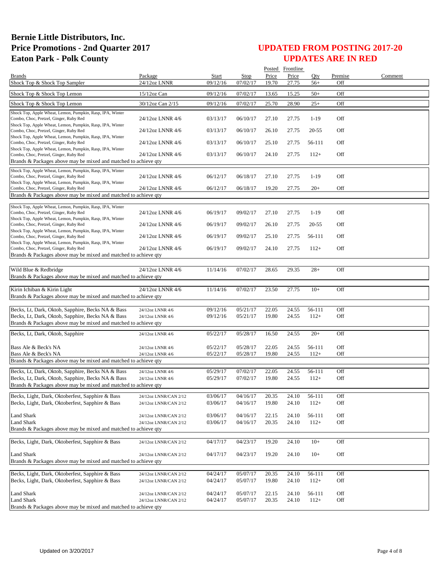|                                                                                                                                                                           |                                                |                      |                      |                | Posted Frontline |                  |            |         |
|---------------------------------------------------------------------------------------------------------------------------------------------------------------------------|------------------------------------------------|----------------------|----------------------|----------------|------------------|------------------|------------|---------|
| <b>Brands</b>                                                                                                                                                             | Package                                        | Start                | Stop                 | Price          | Price            | Oty              | Premise    | Comment |
| Shock Top & Shock Top Sampler                                                                                                                                             | 24/12oz LNNR                                   | 09/12/16             | 07/02/17             | 19.70          | 27.75            | $56+$            | Off        |         |
| Shock Top & Shock Top Lemon                                                                                                                                               | 15/12oz Can                                    | 09/12/16             | 07/02/17             | 13.65          | 15.25            | $50+$            | Off        |         |
| Shock Top & Shock Top Lemon                                                                                                                                               | 30/12oz Can 2/15                               | 09/12/16             | 07/02/17             | 25.70          | 28.90            | $25+$            | Off        |         |
| Shock Top, Apple Wheat, Lemon, Pumpkin, Rasp, IPA, Winter<br>Combo, Choc, Pretzel, Ginger, Ruby Red                                                                       | 24/12oz LNNR 4/6                               | 03/13/17             | 06/10/17             | 27.10          | 27.75            | $1-19$           | Off        |         |
| Shock Top, Apple Wheat, Lemon, Pumpkin, Rasp, IPA, Winter<br>Combo, Choc, Pretzel, Ginger, Ruby Red                                                                       | 24/12oz LNNR 4/6                               | 03/13/17             | 06/10/17             | 26.10          | 27.75            | $20 - 55$        | Off        |         |
| Shock Top, Apple Wheat, Lemon, Pumpkin, Rasp, IPA, Winter<br>Combo, Choc, Pretzel, Ginger, Ruby Red<br>Shock Top, Apple Wheat, Lemon, Pumpkin, Rasp, IPA, Winter          | 24/12oz LNNR 4/6                               | 03/13/17             | 06/10/17             | 25.10          | 27.75            | 56-111           | Off        |         |
| Combo, Choc, Pretzel, Ginger, Ruby Red<br>Brands & Packages above may be mixed and matched to achieve qty                                                                 | 24/12oz LNNR 4/6                               | 03/13/17             | 06/10/17             | 24.10          | 27.75            | $112+$           | Off        |         |
|                                                                                                                                                                           |                                                |                      |                      |                |                  |                  |            |         |
| Shock Top, Apple Wheat, Lemon, Pumpkin, Rasp, IPA, Winter<br>Combo, Choc, Pretzel, Ginger, Ruby Red                                                                       | 24/12oz LNNR 4/6                               | 06/12/17             | 06/18/17             | 27.10          | 27.75            | $1-19$           | Off        |         |
| Shock Top, Apple Wheat, Lemon, Pumpkin, Rasp, IPA, Winter<br>Combo, Choc, Pretzel, Ginger, Ruby Red                                                                       | 24/12oz LNNR 4/6                               | 06/12/17             | 06/18/17             | 19.20          | 27.75            | $20+$            | Off        |         |
| Brands & Packages above may be mixed and matched to achieve qty                                                                                                           |                                                |                      |                      |                |                  |                  |            |         |
| Shock Top, Apple Wheat, Lemon, Pumpkin, Rasp, IPA, Winter<br>Combo, Choc, Pretzel, Ginger, Ruby Red                                                                       | 24/12oz LNNR 4/6                               | 06/19/17             | 09/02/17             | 27.10          | 27.75            | $1-19$           | Off        |         |
| Shock Top, Apple Wheat, Lemon, Pumpkin, Rasp, IPA, Winter<br>Combo, Choc, Pretzel, Ginger, Ruby Red                                                                       | 24/12oz LNNR 4/6                               | 06/19/17             | 09/02/17             | 26.10          | 27.75            | $20 - 55$        | Off        |         |
| Shock Top, Apple Wheat, Lemon, Pumpkin, Rasp, IPA, Winter<br>Combo, Choc, Pretzel, Ginger, Ruby Red                                                                       | 24/12oz LNNR 4/6                               | 06/19/17             | 09/02/17             | 25.10          | 27.75            | 56-111           | Off        |         |
| Shock Top, Apple Wheat, Lemon, Pumpkin, Rasp, IPA, Winter<br>Combo, Choc, Pretzel, Ginger, Ruby Red                                                                       | 24/12oz LNNR 4/6                               | 06/19/17             | 09/02/17             | 24.10          | 27.75            | $112+$           | Off        |         |
| Brands & Packages above may be mixed and matched to achieve qty                                                                                                           |                                                |                      |                      |                |                  |                  |            |         |
| Wild Blue & Redbridge                                                                                                                                                     | 24/12oz LNNR 4/6                               | 11/14/16             | 07/02/17             | 28.65          | 29.35            | $28+$            | Off        |         |
| Brands & Packages above may be mixed and matched to achieve qty                                                                                                           |                                                |                      |                      |                |                  |                  |            |         |
| Kirin Ichiban & Kirin Light<br>Brands & Packages above may be mixed and matched to achieve qty                                                                            | 24/12oz LNNR 4/6                               | 11/14/16             | 07/02/17             | 23.50          | 27.75            | $10+$            | Off        |         |
| Becks, Lt, Dark, Oktob, Sapphire, Becks NA & Bass<br>Becks, Lt, Dark, Oktob, Sapphire, Becks NA & Bass<br>Brands & Packages above may be mixed and matched to achieve qty | 24/12oz LNNR 4/6<br>24/12oz LNNR 4/6           | 09/12/16<br>09/12/16 | 05/21/17<br>05/21/17 | 22.05<br>19.80 | 24.55<br>24.55   | 56-111<br>$112+$ | Off<br>Off |         |
| Becks, Lt, Dark, Oktob, Sapphire                                                                                                                                          | 24/12oz LNNR 4/6                               | 05/22/17             | 05/28/17             | 16.50          | 24.55            | $20+$            | Off        |         |
| Bass Ale & Beck's NA<br>Bass Ale & Beck's NA                                                                                                                              | 24/12oz LNNR 4/6<br>24/12oz LNNR 4/6           | 05/22/17<br>05/22/17 | 05/28/17<br>05/28/17 | 22.05<br>19.80 | 24.55<br>24.55   | 56-111<br>$112+$ | Off<br>Off |         |
| Brands & Packages above may be mixed and matched to achieve qty                                                                                                           |                                                |                      |                      |                |                  |                  |            |         |
| Becks, Lt, Dark, Oktob, Sapphire, Becks NA & Bass                                                                                                                         | 24/12oz LNNR 4/6                               | 05/29/17             | 07/02/17             | 22.05          | 24.55            | 56-111           | Off        |         |
| Becks, Lt, Dark, Oktob, Sapphire, Becks NA & Bass<br>Brands & Packages above may be mixed and matched to achieve qty                                                      | 24/12oz LNNR 4/6                               | 05/29/17             | 07/02/17             | 19.80          | 24.55            | $112+$           | Off        |         |
|                                                                                                                                                                           |                                                |                      |                      |                |                  |                  |            |         |
| Becks, Light, Dark, Oktoberfest, Sapphire & Bass<br>Becks, Light, Dark, Oktoberfest, Sapphire & Bass                                                                      | 24/12oz LNNR/CAN 2/12<br>24/12oz LNNR/CAN 2/12 | 03/06/17<br>03/06/17 | 04/16/17<br>04/16/17 | 20.35<br>19.80 | 24.10<br>24.10   | 56-111<br>$112+$ | Off<br>Off |         |
| <b>Land Shark</b>                                                                                                                                                         | 24/12oz LNNR/CAN 2/12                          | 03/06/17             | 04/16/17             | 22.15          | 24.10            | 56-111           | Off        |         |
| <b>Land Shark</b><br>Brands & Packages above may be mixed and matched to achieve qty                                                                                      | 24/12oz LNNR/CAN 2/12                          | 03/06/17             | 04/16/17             | 20.35          | 24.10            | $112+$           | Off        |         |
|                                                                                                                                                                           |                                                |                      |                      |                |                  |                  |            |         |
| Becks, Light, Dark, Oktoberfest, Sapphire & Bass                                                                                                                          | 24/12oz LNNR/CAN 2/12                          | 04/17/17             | 04/23/17             | 19.20          | 24.10            | $10+$            | Off        |         |
| <b>Land Shark</b><br>Brands & Packages above may be mixed and matched to achieve qty                                                                                      | 24/12oz LNNR/CAN 2/12                          | 04/17/17             | 04/23/17             | 19.20          | 24.10            | $10+$            | Off        |         |
| Becks, Light, Dark, Oktoberfest, Sapphire & Bass                                                                                                                          |                                                | 04/24/17             | 05/07/17             | 20.35          | 24.10            | 56-111           | Off        |         |
| Becks, Light, Dark, Oktoberfest, Sapphire & Bass                                                                                                                          | 24/12oz LNNR/CAN 2/12<br>24/12oz LNNR/CAN 2/12 | 04/24/17             | 05/07/17             | 19.80          | 24.10            | $112+$           | Off        |         |
| <b>Land Shark</b>                                                                                                                                                         | 24/12oz LNNR/CAN 2/12                          | 04/24/17             | 05/07/17             | 22.15          | 24.10            | 56-111           | Off        |         |
| <b>Land Shark</b><br>Brands & Packages above may be mixed and matched to achieve qty                                                                                      | 24/12oz LNNR/CAN 2/12                          | 04/24/17             | 05/07/17             | 20.35          | 24.10            | $112+$           | Off        |         |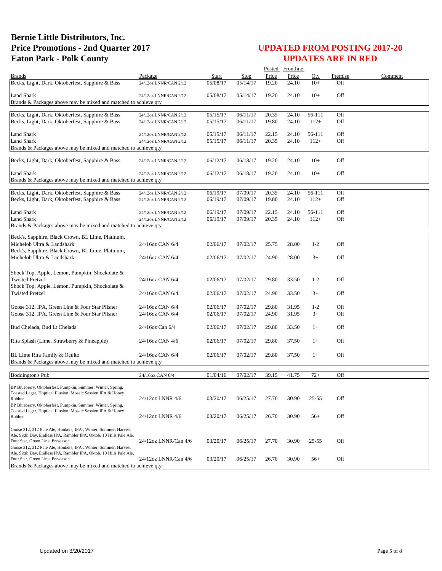|                                                                                                                                       |                       |          |          |       | Posted Frontline |         |         |         |
|---------------------------------------------------------------------------------------------------------------------------------------|-----------------------|----------|----------|-------|------------------|---------|---------|---------|
| <b>Brands</b>                                                                                                                         | Package               | Start    | Stop     | Price | Price            | Otv     | Premise | Comment |
| Becks, Light, Dark, Oktoberfest, Sapphire & Bass                                                                                      | 24/12oz LNNR/CAN 2/12 | 05/08/17 | 05/14/17 | 19.20 | 24.10            | $10+$   | Off     |         |
| <b>Land Shark</b><br>Brands & Packages above may be mixed and matched to achieve gty                                                  | 24/12oz LNNR/CAN 2/12 | 05/08/17 | 05/14/17 | 19.20 | 24.10            | $10+$   | Off     |         |
|                                                                                                                                       |                       |          |          |       |                  |         |         |         |
| Becks, Light, Dark, Oktoberfest, Sapphire & Bass                                                                                      | 24/12oz LNNR/CAN 2/12 | 05/15/17 | 06/11/17 | 20.35 | 24.10            | 56-111  | Off     |         |
| Becks, Light, Dark, Oktoberfest, Sapphire & Bass                                                                                      | 24/12oz LNNR/CAN 2/12 | 05/15/17 | 06/11/17 | 19.80 | 24.10            | $112+$  | Off     |         |
|                                                                                                                                       |                       |          |          |       |                  |         |         |         |
| <b>Land Shark</b>                                                                                                                     | 24/12oz LNNR/CAN 2/12 | 05/15/17 | 06/11/17 | 22.15 | 24.10            | 56-111  | Off     |         |
| <b>Land Shark</b>                                                                                                                     | 24/12oz LNNR/CAN 2/12 | 05/15/17 | 06/11/17 | 20.35 | 24.10            | $112+$  | Off     |         |
| Brands & Packages above may be mixed and matched to achieve qty                                                                       |                       |          |          |       |                  |         |         |         |
| Becks, Light, Dark, Oktoberfest, Sapphire & Bass                                                                                      | 24/12oz LNNR/CAN 2/12 | 06/12/17 | 06/18/17 | 19.20 | 24.10            | $10+$   | Off     |         |
| <b>Land Shark</b>                                                                                                                     | 24/12oz LNNR/CAN 2/12 | 06/12/17 | 06/18/17 | 19.20 | 24.10            | $10+$   | Off     |         |
| Brands & Packages above may be mixed and matched to achieve qty                                                                       |                       |          |          |       |                  |         |         |         |
|                                                                                                                                       |                       |          |          |       |                  |         |         |         |
| Becks, Light, Dark, Oktoberfest, Sapphire & Bass                                                                                      | 24/12oz LNNR/CAN 2/12 | 06/19/17 | 07/09/17 | 20.35 | 24.10            | 56-111  | Off     |         |
| Becks, Light, Dark, Oktoberfest, Sapphire & Bass                                                                                      | 24/12oz LNNR/CAN 2/12 | 06/19/17 | 07/09/17 | 19.80 | 24.10            | $112+$  | Off     |         |
|                                                                                                                                       |                       |          |          |       |                  |         |         |         |
| <b>Land Shark</b>                                                                                                                     | 24/12oz LNNR/CAN 2/12 | 06/19/17 | 07/09/17 | 22.15 | 24.10            | 56-111  | Off     |         |
| <b>Land Shark</b>                                                                                                                     | 24/12oz LNNR/CAN 2/12 | 06/19/17 | 07/09/17 | 20.35 | 24.10            | $112+$  | Off     |         |
| Brands & Packages above may be mixed and matched to achieve qty                                                                       |                       |          |          |       |                  |         |         |         |
| Beck's, Sapphire, Black Crown, BL Lime, Platinum,                                                                                     |                       |          |          |       |                  |         |         |         |
| Michelob Ultra & Landshark                                                                                                            | 24/16oz CAN 6/4       | 02/06/17 | 07/02/17 | 25.75 | 28.00            | $1 - 2$ | Off     |         |
| Beck's, Sapphire, Black Crown, BL Lime, Platinum,                                                                                     |                       |          |          |       |                  |         |         |         |
| Michelob Ultra & Landshark                                                                                                            | 24/16oz CAN 6/4       | 02/06/17 | 07/02/17 | 24.90 | 28.00            | $3+$    | Off     |         |
|                                                                                                                                       |                       |          |          |       |                  |         |         |         |
| Shock Top, Apple, Lemon, Pumpkin, Shockolate &                                                                                        |                       |          |          |       |                  |         |         |         |
| <b>Twisted Pretzel</b>                                                                                                                | 24/16oz CAN 6/4       | 02/06/17 | 07/02/17 | 29.80 | 33.50            | $1 - 2$ | Off     |         |
| Shock Top, Apple, Lemon, Pumpkin, Shockolate &                                                                                        |                       |          |          |       |                  |         |         |         |
| <b>Twisted Pretzel</b>                                                                                                                | 24/16oz CAN 6/4       | 02/06/17 | 07/02/17 | 24.90 | 33.50            | $3+$    | Off     |         |
|                                                                                                                                       |                       |          |          |       |                  |         |         |         |
| Goose 312, IPA, Green Line & Four Star Pilsner                                                                                        | 24/16oz CAN 6/4       | 02/06/17 | 07/02/17 | 29.80 | 31.95            | $1 - 2$ | Off     |         |
| Goose 312, IPA, Green Line & Four Star Pilsner                                                                                        | 24/16oz CAN 6/4       | 02/06/17 | 07/02/17 | 24.90 | 31.95            | $3+$    | Off     |         |
| Bud Chelada, Bud Lt Chelada                                                                                                           | 24/16oz Can 6/4       | 02/06/17 | 07/02/17 | 29.80 | 33.50            | $1+$    | Off     |         |
|                                                                                                                                       |                       |          |          |       |                  |         |         |         |
| Rita Splash (Lime, Strawberry & Pineapple)                                                                                            | 24/16oz CAN 4/6       | 02/06/17 | 07/02/17 | 29.80 | 37.50            | $1+$    | Off     |         |
|                                                                                                                                       |                       |          |          |       |                  |         |         |         |
| BL Lime Rita Family & Oculto                                                                                                          | 24/16oz CAN 6/4       | 02/06/17 | 07/02/17 | 29.80 | 37.50            | $1+$    | Off     |         |
| Brands & Packages above may be mixed and matched to achieve qty                                                                       |                       |          |          |       |                  |         |         |         |
|                                                                                                                                       |                       |          |          |       |                  |         |         |         |
| <b>Boddington's Pub</b>                                                                                                               | 24/16oz CAN 6/4       | 01/04/16 | 07/02/17 | 39.15 | 41.75            | $72+$   | Off     |         |
| BP Blueberry, Oktoberfest, Pumpkin, Summer, Winter, Spring,                                                                           |                       |          |          |       |                  |         |         |         |
| Toasted Lager, Hoptical Illusion, Mosaic Session IPA & Honey                                                                          |                       |          |          |       |                  |         |         |         |
| Robber                                                                                                                                | 24/12oz LNNR 4/6      | 03/20/17 | 06/25/17 | 27.70 | 30.90            | 25-55   | Off     |         |
| BP Blueberry, Oktoberfest, Pumpkin, Summer, Winter, Spring,                                                                           |                       |          |          |       |                  |         |         |         |
| Toasted Lager, Hoptical Illusion, Mosaic Session IPA & Honey<br>Robber                                                                | 24/12oz LNNR 4/6      | 03/20/17 | 06/25/17 | 26.70 | 30.90            | $56+$   | Off     |         |
|                                                                                                                                       |                       |          |          |       |                  |         |         |         |
| Goose 312, 312 Pale Ale, Honkers, IPA, Winter, Summer, Harvest                                                                        |                       |          |          |       |                  |         |         |         |
| Ale, Sixth Day, Endless IPA, Rambler IPA, Oktob, 10 Hills Pale Ale,                                                                   |                       |          |          |       |                  |         |         |         |
| Four Star, Green Line, Preseason                                                                                                      | 24/12oz LNNR/Can 4/6  | 03/20/17 | 06/25/17 | 27.70 | 30.90            | 25-55   | Off     |         |
| Goose 312, 312 Pale Ale, Honkers, IPA, Winter, Summer, Harvest<br>Ale, Sixth Day, Endless IPA, Rambler IPA, Oktob, 10 Hills Pale Ale, |                       |          |          |       |                  |         |         |         |
| Four Star, Green Line, Preseason                                                                                                      | 24/12oz LNNR/Can 4/6  | 03/20/17 | 06/25/17 | 26.70 | 30.90            | $56+$   | Off     |         |
| Brands & Packages above may be mixed and matched to achieve qty                                                                       |                       |          |          |       |                  |         |         |         |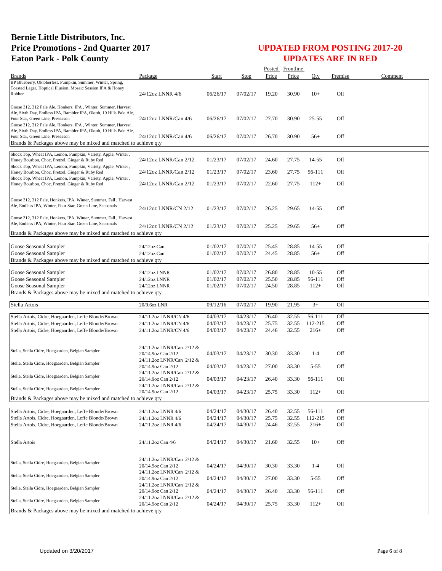|                                                                                                                                |                                                 |                      |                      |                | Posted Frontline |                   |            |         |
|--------------------------------------------------------------------------------------------------------------------------------|-------------------------------------------------|----------------------|----------------------|----------------|------------------|-------------------|------------|---------|
| <b>Brands</b>                                                                                                                  | Package                                         | <b>Start</b>         | <b>Stop</b>          | Price          | Price            | Qty               | Premise    | Comment |
| BP Blueberry, Oktoberfest, Pumpkin, Summer, Winter, Spring,<br>Toasted Lager, Hoptical Illusion, Mosaic Session IPA & Honey    |                                                 |                      |                      |                |                  |                   |            |         |
| Robber                                                                                                                         | 24/12oz LNNR 4/6                                | 06/26/17             | 07/02/17             | 19.20          | 30.90            | $10+$             | Off        |         |
|                                                                                                                                |                                                 |                      |                      |                |                  |                   |            |         |
| Goose 312, 312 Pale Ale, Honkers, IPA, Winter, Summer, Harvest                                                                 |                                                 |                      |                      |                |                  |                   |            |         |
| Ale, Sixth Day, Endless IPA, Rambler IPA, Oktob, 10 Hills Pale Ale,<br>Four Star, Green Line, Preseason                        | 24/12oz LNNR/Can 4/6                            | 06/26/17             | 07/02/17             | 27.70          | 30.90            | 25-55             | Off        |         |
| Goose 312, 312 Pale Ale, Honkers, IPA, Winter, Summer, Harvest                                                                 |                                                 |                      |                      |                |                  |                   |            |         |
| Ale, Sixth Day, Endless IPA, Rambler IPA, Oktob, 10 Hills Pale Ale,                                                            |                                                 |                      |                      |                |                  |                   |            |         |
| Four Star, Green Line, Preseason                                                                                               | 24/12oz LNNR/Can 4/6                            | 06/26/17             | 07/02/17             | 26.70          | 30.90            | $56+$             | Off        |         |
| Brands & Packages above may be mixed and matched to achieve qty                                                                |                                                 |                      |                      |                |                  |                   |            |         |
| Shock Top, Wheat IPA, Lemon, Pumpkin, Variety, Apple, Winter,                                                                  |                                                 |                      |                      |                |                  |                   |            |         |
| Honey Bourbon, Choc, Pretzel, Ginger & Ruby Red                                                                                | 24/12oz LNNR/Can 2/12                           | 01/23/17             | 07/02/17             | 24.60          | 27.75            | 14-55             | Off        |         |
| Shock Top, Wheat IPA, Lemon, Pumpkin, Variety, Apple, Winter,<br>Honey Bourbon, Choc, Pretzel, Ginger & Ruby Red               | 24/12oz LNNR/Can 2/12                           | 01/23/17             | 07/02/17             | 23.60          | 27.75            | 56-111            | Off        |         |
| Shock Top, Wheat IPA, Lemon, Pumpkin, Variety, Apple, Winter,                                                                  |                                                 |                      |                      |                |                  |                   |            |         |
| Honey Bourbon, Choc, Pretzel, Ginger & Ruby Red                                                                                | 24/12oz LNNR/Can 2/12                           | 01/23/17             | 07/02/17             | 22.60          | 27.75            | $112+$            | Off        |         |
|                                                                                                                                |                                                 |                      |                      |                |                  |                   |            |         |
| Goose 312, 312 Pale, Honkers, IPA, Winter, Summer, Fall, Harvest                                                               |                                                 |                      |                      |                |                  |                   |            |         |
| Ale, Endless IPA, Winter, Four Star, Green Line, Seasonals                                                                     | 24/12oz LNNR/CN 2/12                            | 01/23/17             | 07/02/17             | 26.25          | 29.65            | 14-55             | Off        |         |
|                                                                                                                                |                                                 |                      |                      |                |                  |                   |            |         |
| Goose 312, 312 Pale, Honkers, IPA, Winter, Summer, Fall, Harvest<br>Ale, Endless IPA, Winter, Four Star, Green Line, Seasonals |                                                 |                      |                      |                |                  |                   |            |         |
|                                                                                                                                | 24/12oz LNNR/CN 2/12                            | 01/23/17             | 07/02/17             | 25.25          | 29.65            | $56+$             | Off        |         |
| Brands & Packages above may be mixed and matched to achieve qty                                                                |                                                 |                      |                      |                |                  |                   |            |         |
| Goose Seasonal Sampler                                                                                                         | 24/12oz Can                                     | 01/02/17             | 07/02/17             | 25.45          | 28.85            | 14-55             | Off        |         |
| Goose Seasonal Sampler                                                                                                         | 24/12oz Can                                     | 01/02/17             | 07/02/17             | 24.45          | 28.85            | $56+$             | Off        |         |
| Brands & Packages above may be mixed and matched to achieve qty                                                                |                                                 |                      |                      |                |                  |                   |            |         |
|                                                                                                                                |                                                 |                      |                      |                |                  |                   |            |         |
| Goose Seasonal Sampler                                                                                                         | 24/12oz LNNR                                    | 01/02/17             | 07/02/17             | 26.80          | 28.85            | $10 - 55$         | Off        |         |
| Goose Seasonal Sampler<br>Goose Seasonal Sampler                                                                               | 24/12oz LNNR<br>24/12oz LNNR                    | 01/02/17<br>01/02/17 | 07/02/17<br>07/02/17 | 25.50<br>24.50 | 28.85<br>28.85   | 56-111<br>$112+$  | Off<br>Off |         |
|                                                                                                                                |                                                 |                      |                      |                |                  |                   |            |         |
|                                                                                                                                |                                                 |                      |                      |                |                  |                   |            |         |
| Brands & Packages above may be mixed and matched to achieve qty                                                                |                                                 |                      |                      |                |                  |                   |            |         |
| Stella Artois                                                                                                                  | 20/9.6oz LNR                                    | 09/12/16             | 07/02/17             | 19.90          | 21.95            | $3+$              | Off        |         |
|                                                                                                                                |                                                 |                      |                      |                |                  |                   |            |         |
| Stella Artois, Cidre, Hoegaarden, Leffe Blonde/Brown                                                                           | 24/11.2oz LNNR/CN 4/6                           | 04/03/17             | 04/23/17             | 26.40<br>25.75 | 32.55            | 56-111<br>112-215 | Off<br>Off |         |
| Stella Artois, Cidre, Hoegaarden, Leffe Blonde/Brown<br>Stella Artois, Cidre, Hoegaarden, Leffe Blonde/Brown                   | 24/11.2oz LNNR/CN 4/6<br>24/11.2oz LNNR/CN 4/6  | 04/03/17<br>04/03/17 | 04/23/17<br>04/23/17 | 24.46          | 32.55<br>32.55   | $216+$            | Off        |         |
|                                                                                                                                |                                                 |                      |                      |                |                  |                   |            |         |
|                                                                                                                                |                                                 |                      |                      |                |                  |                   |            |         |
| Stella, Stella Cidre, Hoegaarden, Belgian Sampler                                                                              | 24/11.2oz LNNR/Can 2/12 &<br>20/14.9oz Can 2/12 |                      |                      |                | 33.30            | $1-4$             | Off        |         |
|                                                                                                                                | 24/11.2oz LNNR/Can 2/12 &                       | 04/03/17             | 04/23/17             | 30.30          |                  |                   |            |         |
| Stella, Stella Cidre, Hoegaarden, Belgian Sampler                                                                              | 20/14.9oz Can 2/12                              | 04/03/17             | 04/23/17             | 27.00          | 33.30            | 5-55              | Off        |         |
|                                                                                                                                | 24/11.2oz LNNR/Can 2/12 &                       |                      |                      |                |                  |                   |            |         |
| Stella, Stella Cidre, Hoegaarden, Belgian Sampler                                                                              | 20/14.9oz Can 2/12                              | 04/03/17             | 04/23/17             | 26.40          | 33.30            | 56-111            | Off        |         |
| Stella, Stella Cidre, Hoegaarden, Belgian Sampler                                                                              | 24/11.2oz LNNR/Can 2/12 &                       |                      |                      |                |                  |                   |            |         |
| Brands & Packages above may be mixed and matched to achieve gty                                                                | 20/14.9oz Can 2/12                              | 04/03/17             | 04/23/17             | 25.75          | 33.30            | $112+$            | Off        |         |
|                                                                                                                                |                                                 |                      |                      |                |                  |                   |            |         |
| Stella Artois, Cidre, Hoegaarden, Leffe Blonde/Brown                                                                           | 24/11.2oz LNNR 4/6                              | 04/24/17             | 04/30/17             | 26.40          | 32.55            | 56-111            | Off        |         |
| Stella Artois, Cidre, Hoegaarden, Leffe Blonde/Brown                                                                           | 24/11.2oz LNNR 4/6                              | 04/24/17             | 04/30/17             | 25.75          | 32.55            | 112-215           | Off        |         |
| Stella Artois, Cidre, Hoegaarden, Leffe Blonde/Brown                                                                           | 24/11.2oz LNNR 4/6                              | 04/24/17             | 04/30/17             | 24.46          | 32.55            | $216+$            | Off        |         |
|                                                                                                                                |                                                 |                      |                      |                |                  |                   |            |         |
| Stella Artois                                                                                                                  | 24/11.2oz Can 4/6                               | 04/24/17             | 04/30/17             | 21.60          | 32.55            | $10+$             | Off        |         |
|                                                                                                                                |                                                 |                      |                      |                |                  |                   |            |         |
|                                                                                                                                | 24/11.2oz LNNR/Can 2/12 &                       |                      |                      |                |                  |                   |            |         |
| Stella, Stella Cidre, Hoegaarden, Belgian Sampler                                                                              | 20/14.9oz Can 2/12                              | 04/24/17             | 04/30/17             | 30.30          | 33.30            | $1 - 4$           | Off        |         |
|                                                                                                                                | 24/11.2oz LNNR/Can 2/12 &                       |                      |                      |                |                  |                   |            |         |
| Stella, Stella Cidre, Hoegaarden, Belgian Sampler                                                                              | 20/14.9oz Can 2/12                              | 04/24/17             | 04/30/17             | 27.00          | 33.30            | $5 - 55$          | Off        |         |
| Stella, Stella Cidre, Hoegaarden, Belgian Sampler                                                                              | 24/11.2oz LNNR/Can 2/12 &                       |                      |                      |                |                  |                   |            |         |
|                                                                                                                                | 20/14.9oz Can 2/12<br>24/11.2oz LNNR/Can 2/12 & | 04/24/17             | 04/30/17             | 26.40          | 33.30            | 56-111            | Off        |         |
| Stella, Stella Cidre, Hoegaarden, Belgian Sampler                                                                              | 20/14.9oz Can 2/12                              | 04/24/17             | 04/30/17             | 25.75          | 33.30            | $112+$            | Off        |         |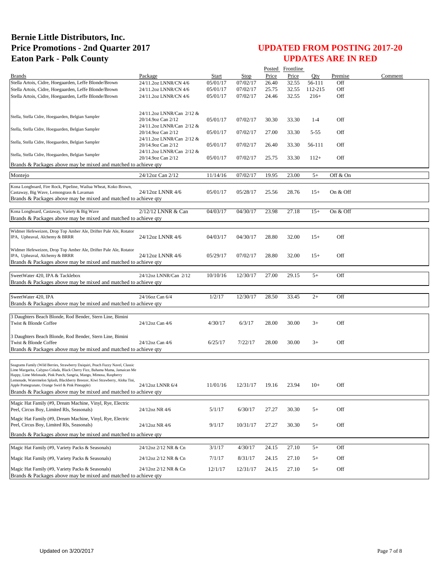|                                                                                                                                                               |                                                 |          |             |       | Posted Frontline |         |          |         |
|---------------------------------------------------------------------------------------------------------------------------------------------------------------|-------------------------------------------------|----------|-------------|-------|------------------|---------|----------|---------|
| <b>Brands</b>                                                                                                                                                 | Package                                         | Start    | <b>Stop</b> | Price | Price            | Oty     | Premise  | Comment |
| Stella Artois, Cidre, Hoegaarden, Leffe Blonde/Brown                                                                                                          | 24/11.2oz LNNR/CN 4/6                           | 05/01/17 | 07/02/17    | 26.40 | 32.55            | 56-111  | Off      |         |
| Stella Artois, Cidre, Hoegaarden, Leffe Blonde/Brown                                                                                                          | 24/11.2oz LNNR/CN 4/6                           | 05/01/17 | 07/02/17    | 25.75 | 32.55            | 112-215 | Off      |         |
| Stella Artois, Cidre, Hoegaarden, Leffe Blonde/Brown                                                                                                          | 24/11.2oz LNNR/CN 4/6                           | 05/01/17 | 07/02/17    | 24.46 | 32.55            | $216+$  | Off      |         |
|                                                                                                                                                               |                                                 |          |             |       |                  |         |          |         |
| Stella, Stella Cidre, Hoegaarden, Belgian Sampler                                                                                                             | 24/11.2oz LNNR/Can 2/12 &<br>20/14.9oz Can 2/12 | 05/01/17 | 07/02/17    | 30.30 | 33.30            | $1 - 4$ | Off      |         |
|                                                                                                                                                               | 24/11.2oz LNNR/Can 2/12 &                       |          |             |       |                  |         |          |         |
| Stella, Stella Cidre, Hoegaarden, Belgian Sampler                                                                                                             | 20/14.9oz Can 2/12                              | 05/01/17 | 07/02/17    | 27.00 | 33.30            | 5-55    | Off      |         |
| Stella, Stella Cidre, Hoegaarden, Belgian Sampler                                                                                                             | 24/11.2oz LNNR/Can 2/12 &                       | 05/01/17 | 07/02/17    |       | 33.30            | 56-111  | Off      |         |
|                                                                                                                                                               | 20/14.9oz Can 2/12<br>24/11.2oz LNNR/Can 2/12 & |          |             | 26.40 |                  |         |          |         |
| Stella, Stella Cidre, Hoegaarden, Belgian Sampler                                                                                                             | 20/14.9oz Can 2/12                              | 05/01/17 | 07/02/17    | 25.75 | 33.30            | $112+$  | Off      |         |
| Brands & Packages above may be mixed and matched to achieve gty                                                                                               |                                                 |          |             |       |                  |         |          |         |
| Montejo                                                                                                                                                       | 24/12oz Can 2/12                                | 11/14/16 | 07/02/17    | 19.95 | 23.00            | $5+$    | Off & On |         |
| Kona Longboard, Fire Rock, Pipeline, Wailua Wheat, Koko Brown,                                                                                                |                                                 |          |             |       |                  |         |          |         |
| Castaway, Big Wave, Lemongrass & Lavaman                                                                                                                      | 24/12oz LNNR 4/6                                | 05/01/17 | 05/28/17    | 25.56 | 28.76            | $15+$   | On & Off |         |
| Brands & Packages above may be mixed and matched to achieve qty                                                                                               |                                                 |          |             |       |                  |         |          |         |
| Kona Longboard, Castaway, Variety & Big Wave                                                                                                                  | 2/12/12 LNNR & Can                              | 04/03/17 | 04/30/17    | 23.98 | 27.18            | $15+$   | On & Off |         |
| Brands & Packages above may be mixed and matched to achieve qty                                                                                               |                                                 |          |             |       |                  |         |          |         |
|                                                                                                                                                               |                                                 |          |             |       |                  |         |          |         |
| Widmer Hefeweizen, Drop Top Amber Ale, Drifter Pale Ale, Rotator<br>IPA, Upheaval, Alchemy & BRRR                                                             | 24/12oz LNNR 4/6                                | 04/03/17 | 04/30/17    | 28.80 | 32.00            | $15+$   | Off      |         |
|                                                                                                                                                               |                                                 |          |             |       |                  |         |          |         |
| Widmer Hefeweizen, Drop Top Amber Ale, Drifter Pale Ale, Rotator                                                                                              |                                                 |          |             |       |                  |         |          |         |
| IPA, Upheaval, Alchemy & BRRR<br>Brands & Packages above may be mixed and matched to achieve qty                                                              | 24/12oz LNNR 4/6                                | 05/29/17 | 07/02/17    | 28.80 | 32.00            | $15+$   | Off      |         |
|                                                                                                                                                               |                                                 |          |             |       |                  |         |          |         |
| SweetWater 420, IPA & Tacklebox                                                                                                                               | 24/12oz LNNR/Can 2/12                           | 10/10/16 | 12/30/17    | 27.00 | 29.15            | $5+$    | Off      |         |
| Brands & Packages above may be mixed and matched to achieve qty                                                                                               |                                                 |          |             |       |                  |         |          |         |
| SweetWater 420, IPA                                                                                                                                           | 24/16oz Can 6/4                                 | 1/2/17   | 12/30/17    | 28.50 | 33.45            | $2+$    | Off      |         |
| Brands & Packages above may be mixed and matched to achieve qty                                                                                               |                                                 |          |             |       |                  |         |          |         |
|                                                                                                                                                               |                                                 |          |             |       |                  |         |          |         |
| 3 Daughters Beach Blonde, Rod Bender, Stern Line, Bimini                                                                                                      |                                                 |          |             |       |                  |         |          |         |
| Twist & Blonde Coffee                                                                                                                                         | 24/12oz Can 4/6                                 | 4/30/17  | 6/3/17      | 28.00 | 30.00            | $3+$    | Off      |         |
| 3 Daughters Beach Blonde, Rod Bender, Stern Line, Bimini                                                                                                      |                                                 |          |             |       |                  |         |          |         |
| Twist & Blonde Coffee                                                                                                                                         | 24/12oz Can 4/6                                 | 6/25/17  | 7/22/17     | 28.00 | 30.00            | $3+$    | Off      |         |
| Brands & Packages above may be mixed and matched to achieve qty                                                                                               |                                                 |          |             |       |                  |         |          |         |
|                                                                                                                                                               |                                                 |          |             |       |                  |         |          |         |
| Seagrams Family (Wild Berries, Strawberry Daiquiri, Peach Fuzzy Navel, Classic<br>Lime Margarita, Calypso Colada, Black Cherry Fizz, Bahama Mama, Jamaican Me |                                                 |          |             |       |                  |         |          |         |
| Happy, Lime Melonade, Pink Punch, Sangria, Mango, Mimosa, Raspberry<br>Lemonade, Watermelon Splash, Blackberry Breezer, Kiwi Strawberry, Aloha Tini,          |                                                 |          |             |       |                  |         |          |         |
| Apple Pomegranate, Orange Swirl & Pink Pineapple)                                                                                                             | 24/12oz LNNR 6/4                                | 11/01/16 | 12/31/17    | 19.16 | 23.94            | $10+$   | Off      |         |
| Brands & Packages above may be mixed and matched to achieve qty                                                                                               |                                                 |          |             |       |                  |         |          |         |
| Magic Hat Family (#9, Dream Machine, Vinyl, Rye, Electric                                                                                                     |                                                 |          |             |       |                  |         |          |         |
| Peel, Circus Boy, Limited Rls, Seasonals)                                                                                                                     | 24/12oz NR 4/6                                  | 5/1/17   | 6/30/17     | 27.27 | 30.30            | $5+$    | Off      |         |
| Magic Hat Family (#9, Dream Machine, Vinyl, Rye, Electric                                                                                                     |                                                 |          |             |       |                  |         |          |         |
| Peel, Circus Boy, Limited Rls, Seasonals)                                                                                                                     | 24/12oz NR 4/6                                  | 9/1/17   | 10/31/17    | 27.27 | 30.30            | $5+$    | Off      |         |
| Brands & Packages above may be mixed and matched to achieve qty                                                                                               |                                                 |          |             |       |                  |         |          |         |
| Magic Hat Family (#9, Variety Packs & Seasonals)                                                                                                              | 24/12oz 2/12 NR & Cn                            | 3/1/17   | 4/30/17     | 24.15 | 27.10            | $5+$    | Off      |         |
| Magic Hat Family (#9, Variety Packs & Seasonals)                                                                                                              | 24/12oz 2/12 NR & Cn                            | 7/1/17   | 8/31/17     | 24.15 | 27.10            | $5+$    | Off      |         |
|                                                                                                                                                               |                                                 |          |             |       |                  |         |          |         |
| Magic Hat Family (#9, Variety Packs & Seasonals)<br>Brands & Packages above may be mixed and matched to achieve qty                                           | 24/12oz 2/12 NR & Cn                            | 12/1/17  | 12/31/17    | 24.15 | 27.10            | $5+$    | Off      |         |